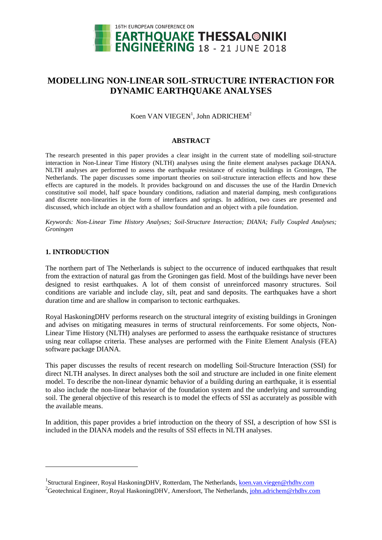

# **MODELLING NON-LINEAR SOIL-STRUCTURE INTERACTION FOR DYNAMIC EARTHQUAKE ANALYSES**

Koen VAN VIEGEN<sup>1</sup>, John ADRICHEM<sup>2</sup>

#### **ABSTRACT**

The research presented in this paper provides a clear insight in the current state of modelling soil-structure interaction in Non-Linear Time History (NLTH) analyses using the finite element analyses package DIANA. NLTH analyses are performed to assess the earthquake resistance of existing buildings in Groningen, The Netherlands. The paper discusses some important theories on soil-structure interaction effects and how these effects are captured in the models. It provides background on and discusses the use of the Hardin Drnevich constitutive soil model, half space boundary conditions, radiation and material damping, mesh configurations and discrete non-linearities in the form of interfaces and springs. In addition, two cases are presented and discussed, which include an object with a shallow foundation and an object with a pile foundation.

*Keywords: Non-Linear Time History Analyses; Soil-Structure Interaction; DIANA; Fully Coupled Analyses; Groningen*

### **1. INTRODUCTION**

l

The northern part of The Netherlands is subject to the occurrence of induced earthquakes that result from the extraction of natural gas from the Groningen gas field. Most of the buildings have never been designed to resist earthquakes. A lot of them consist of unreinforced masonry structures. Soil conditions are variable and include clay, silt, peat and sand deposits. The earthquakes have a short duration time and are shallow in comparison to tectonic earthquakes.

Royal HaskoningDHV performs research on the structural integrity of existing buildings in Groningen and advises on mitigating measures in terms of structural reinforcements. For some objects, Non-Linear Time History (NLTH) analyses are performed to assess the earthquake resistance of structures using near collapse criteria. These analyses are performed with the Finite Element Analysis (FEA) software package DIANA.

This paper discusses the results of recent research on modelling Soil-Structure Interaction (SSI) for direct NLTH analyses. In direct analyses both the soil and structure are included in one finite element model. To describe the non-linear dynamic behavior of a building during an earthquake, it is essential to also include the non-linear behavior of the foundation system and the underlying and surrounding soil. The general objective of this research is to model the effects of SSI as accurately as possible with the available means.

In addition, this paper provides a brief introduction on the theory of SSI, a description of how SSI is included in the DIANA models and the results of SSI effects in NLTH analyses.

<sup>&</sup>lt;sup>1</sup>Structural Engineer, Royal HaskoningDHV, Rotterdam, The Netherlands, [koen.van.viegen@rhdhv.com](mailto:koen.van.viegen@rhdhv.com)

<sup>&</sup>lt;sup>2</sup>Geotechnical Engineer, Royal HaskoningDHV, Amersfoort, The Netherlands[, john.adrichem@rhdhv.com](mailto:john.adrichem@rhdhv.com)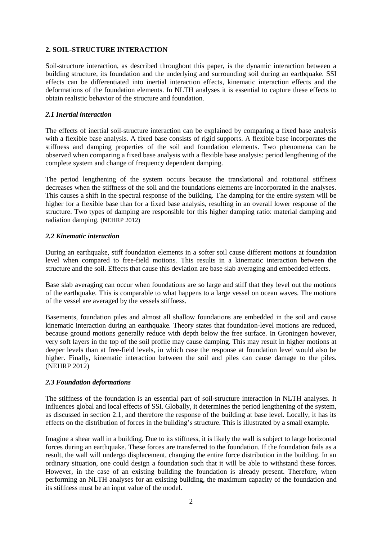# **2. SOIL-STRUCTURE INTERACTION**

Soil-structure interaction, as described throughout this paper, is the dynamic interaction between a building structure, its foundation and the underlying and surrounding soil during an earthquake. SSI effects can be differentiated into inertial interaction effects, kinematic interaction effects and the deformations of the foundation elements. In NLTH analyses it is essential to capture these effects to obtain realistic behavior of the structure and foundation.

# *2.1 Inertial interaction*

The effects of inertial soil-structure interaction can be explained by comparing a fixed base analysis with a flexible base analysis. A fixed base consists of rigid supports. A flexible base incorporates the stiffness and damping properties of the soil and foundation elements. Two phenomena can be observed when comparing a fixed base analysis with a flexible base analysis: period lengthening of the complete system and change of frequency dependent damping.

The period lengthening of the system occurs because the translational and rotational stiffness decreases when the stiffness of the soil and the foundations elements are incorporated in the analyses. This causes a shift in the spectral response of the building. The damping for the entire system will be higher for a flexible base than for a fixed base analysis, resulting in an overall lower response of the structure. Two types of damping are responsible for this higher damping ratio: material damping and radiation damping. (NEHRP 2012)

# *2.2 Kinematic interaction*

During an earthquake, stiff foundation elements in a softer soil cause different motions at foundation level when compared to free-field motions. This results in a kinematic interaction between the structure and the soil. Effects that cause this deviation are base slab averaging and embedded effects.

Base slab averaging can occur when foundations are so large and stiff that they level out the motions of the earthquake. This is comparable to what happens to a large vessel on ocean waves. The motions of the vessel are averaged by the vessels stiffness.

Basements, foundation piles and almost all shallow foundations are embedded in the soil and cause kinematic interaction during an earthquake. Theory states that foundation-level motions are reduced, because ground motions generally reduce with depth below the free surface. In Groningen however, very soft layers in the top of the soil profile may cause damping. This may result in higher motions at deeper levels than at free-field levels, in which case the response at foundation level would also be higher. Finally, kinematic interaction between the soil and piles can cause damage to the piles. (NEHRP 2012)

### *2.3 Foundation deformations*

The stiffness of the foundation is an essential part of soil-structure interaction in NLTH analyses. It influences global and local effects of SSI. Globally, it determines the period lengthening of the system, as discussed in section 2.1, and therefore the response of the building at base level. Locally, it has its effects on the distribution of forces in the building's structure. This is illustrated by a small example.

Imagine a shear wall in a building. Due to its stiffness, it is likely the wall is subject to large horizontal forces during an earthquake. These forces are transferred to the foundation. If the foundation fails as a result, the wall will undergo displacement, changing the entire force distribution in the building. In an ordinary situation, one could design a foundation such that it will be able to withstand these forces. However, in the case of an existing building the foundation is already present. Therefore, when performing an NLTH analyses for an existing building, the maximum capacity of the foundation and its stiffness must be an input value of the model.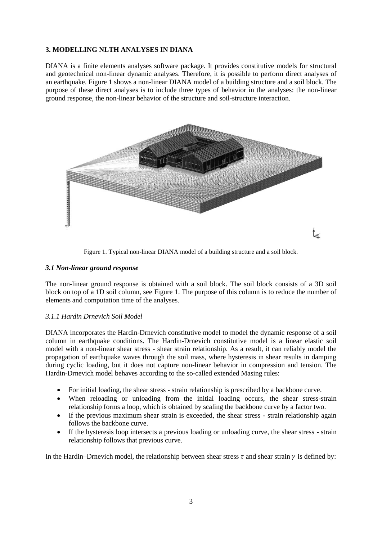# **3. MODELLING NLTH ANALYSES IN DIANA**

DIANA is a finite elements analyses software package. It provides constitutive models for structural and geotechnical non-linear dynamic analyses. Therefore, it is possible to perform direct analyses of an earthquake. [Figure 1](#page-2-0) shows a non-linear DIANA model of a building structure and a soil block. The purpose of these direct analyses is to include three types of behavior in the analyses: the non-linear ground response, the non-linear behavior of the structure and soil-structure interaction.



Figure 1. Typical non-linear DIANA model of a building structure and a soil block.

#### <span id="page-2-0"></span>*3.1 Non-linear ground response*

The non-linear ground response is obtained with a soil block. The soil block consists of a 3D soil block on top of a 1D soil column, see [Figure 1.](#page-2-0) The purpose of this column is to reduce the number of elements and computation time of the analyses.

### *3.1.1 Hardin Drnevich Soil Model*

DIANA incorporates the Hardin-Drnevich constitutive model to model the dynamic response of a soil column in earthquake conditions. The Hardin-Drnevich constitutive model is a linear elastic soil model with a non-linear shear stress - shear strain relationship. As a result, it can reliably model the propagation of earthquake waves through the soil mass, where hysteresis in shear results in damping during cyclic loading, but it does not capture non-linear behavior in compression and tension. The Hardin-Drnevich model behaves according to the so-called extended Masing rules:

- For initial loading, the shear stress strain relationship is prescribed by a backbone curve.
- When reloading or unloading from the initial loading occurs, the shear stress-strain relationship forms a loop, which is obtained by scaling the backbone curve by a factor two.
- If the previous maximum shear strain is exceeded, the shear stress strain relationship again follows the backbone curve.
- If the hysteresis loop intersects a previous loading or unloading curve, the shear stress strain relationship follows that previous curve.

In the Hardin–Drnevich model, the relationship between shear stress  $\tau$  and shear strain  $\gamma$  is defined by: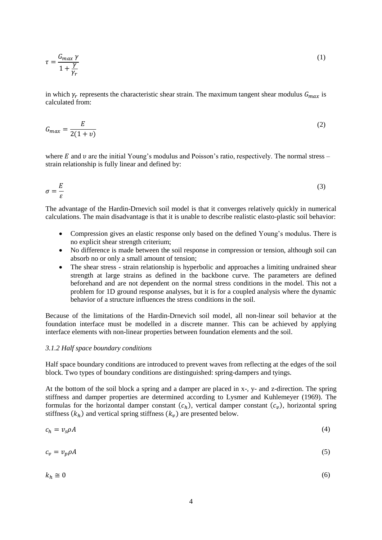$$
\tau = \frac{G_{max} \gamma}{1 + \frac{\gamma}{\gamma_r}}
$$
 (1)

in which  $\gamma_r$  represents the characteristic shear strain. The maximum tangent shear modulus  $G_{max}$  is calculated from:

$$
G_{max} = \frac{E}{2(1+v)}
$$
 (2)

where E and v are the initial Young's modulus and Poisson's ratio, respectively. The normal stress – strain relationship is fully linear and defined by:

$$
\sigma = \frac{E}{\varepsilon} \tag{3}
$$

The advantage of the Hardin-Drnevich soil model is that it converges relatively quickly in numerical calculations. The main disadvantage is that it is unable to describe realistic elasto-plastic soil behavior:

- Compression gives an elastic response only based on the defined Young's modulus. There is no explicit shear strength criterium;
- No difference is made between the soil response in compression or tension, although soil can absorb no or only a small amount of tension;
- The shear stress strain relationship is hyperbolic and approaches a limiting undrained shear strength at large strains as defined in the backbone curve. The parameters are defined beforehand and are not dependent on the normal stress conditions in the model. This not a problem for 1D ground response analyses, but it is for a coupled analysis where the dynamic behavior of a structure influences the stress conditions in the soil.

Because of the limitations of the Hardin-Drnevich soil model, all non-linear soil behavior at the foundation interface must be modelled in a discrete manner. This can be achieved by applying interface elements with non-linear properties between foundation elements and the soil.

#### *3.1.2 Half space boundary conditions*

Half space boundary conditions are introduced to prevent waves from reflecting at the edges of the soil block. Two types of boundary conditions are distinguished: spring-dampers and tyings.

At the bottom of the soil block a spring and a damper are placed in x-, y- and z-direction. The spring stiffness and damper properties are determined according to Lysmer and Kuhlemeyer (1969). The formulas for the horizontal damper constant  $(c_h)$ , vertical damper constant  $(c_v)$ , horizontal spring stiffness  $(k_h)$  and vertical spring stiffness  $(k_v)$  are presented below.

$$
c_h = v_s \rho A \tag{4}
$$

$$
c_v = v_p \rho A \tag{5}
$$

$$
k_h \cong 0 \tag{6}
$$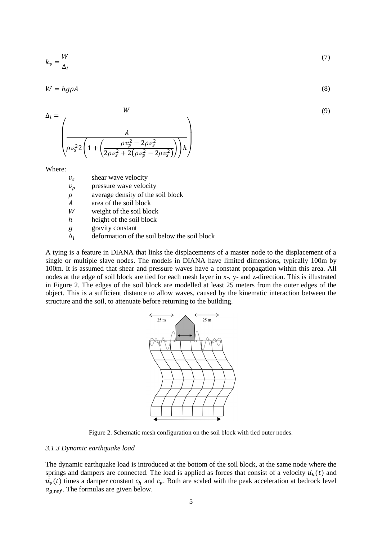$$
k_v = \frac{W}{\Delta_l}
$$

 $W = h g \rho A$ 

$$
(\mathbf{8})
$$

(9)

(7)

$$
\Delta_l = \frac{W}{\left(\frac{A}{\rho v_s^2 2\left(1 + \left(\frac{\rho v_p^2 - 2\rho v_s^2}{2\rho v_s^2 + 2(\rho v_p^2 - 2\rho v_s^2)}\right)\right)h}\right)}
$$

Where:

| $v_{\rm s}$ | shear wave velocity                          |
|-------------|----------------------------------------------|
| $v_p$       | pressure wave velocity                       |
| ρ           | average density of the soil block            |
| A           | area of the soil block                       |
| W           | weight of the soil block                     |
| h           | height of the soil block                     |
| g           | gravity constant                             |
|             | deformation of the soil below the soil block |
|             |                                              |

A tying is a feature in DIANA that links the displacements of a master node to the displacement of a single or multiple slave nodes. The models in DIANA have limited dimensions, typically 100m by 100m. It is assumed that shear and pressure waves have a constant propagation within this area. All nodes at the edge of soil block are tied for each mesh layer in x-, y- and z-direction. This is illustrated in [Figure 2.](#page-4-0) The edges of the soil block are modelled at least 25 meters from the outer edges of the object. This is a sufficient distance to allow waves, caused by the kinematic interaction between the structure and the soil, to attenuate before returning to the building.



Figure 2. Schematic mesh configuration on the soil block with tied outer nodes.

#### <span id="page-4-0"></span>*3.1.3 Dynamic earthquake load*

The dynamic earthquake load is introduced at the bottom of the soil block, at the same node where the springs and dampers are connected. The load is applied as forces that consist of a velocity  $\dot{u}_h(t)$  and  $u<sub>v</sub>(t)$  times a damper constant  $c<sub>h</sub>$  and  $c<sub>v</sub>$ . Both are scaled with the peak acceleration at bedrock level  $a_{a,ref}$ . The formulas are given below.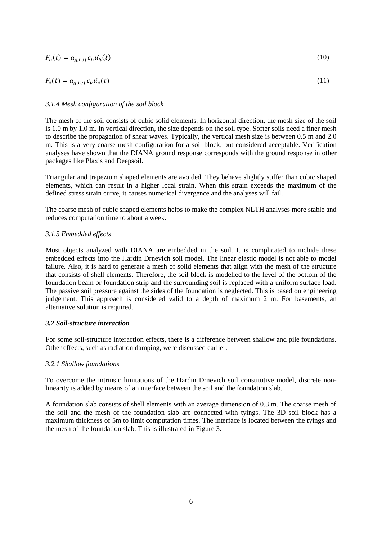$$
F_h(t) = a_{g,ref} c_h u_h(t) \tag{10}
$$

$$
F_v(t) = a_{g,ref} c_v \dot{u}_v(t) \tag{11}
$$

# *3.1.4 Mesh configuration of the soil block*

The mesh of the soil consists of cubic solid elements. In horizontal direction, the mesh size of the soil is 1.0 m by 1.0 m. In vertical direction, the size depends on the soil type. Softer soils need a finer mesh to describe the propagation of shear waves. Typically, the vertical mesh size is between 0.5 m and 2.0 m. This is a very coarse mesh configuration for a soil block, but considered acceptable. Verification analyses have shown that the DIANA ground response corresponds with the ground response in other packages like Plaxis and Deepsoil.

Triangular and trapezium shaped elements are avoided. They behave slightly stiffer than cubic shaped elements, which can result in a higher local strain. When this strain exceeds the maximum of the defined stress strain curve, it causes numerical divergence and the analyses will fail.

The coarse mesh of cubic shaped elements helps to make the complex NLTH analyses more stable and reduces computation time to about a week.

### *3.1.5 Embedded effects*

Most objects analyzed with DIANA are embedded in the soil. It is complicated to include these embedded effects into the Hardin Drnevich soil model. The linear elastic model is not able to model failure. Also, it is hard to generate a mesh of solid elements that align with the mesh of the structure that consists of shell elements. Therefore, the soil block is modelled to the level of the bottom of the foundation beam or foundation strip and the surrounding soil is replaced with a uniform surface load. The passive soil pressure against the sides of the foundation is neglected. This is based on engineering judgement. This approach is considered valid to a depth of maximum 2 m. For basements, an alternative solution is required.

### *3.2 Soil-structure interaction*

For some soil-structure interaction effects, there is a difference between shallow and pile foundations. Other effects, such as radiation damping, were discussed earlier.

### *3.2.1 Shallow foundations*

To overcome the intrinsic limitations of the Hardin Drnevich soil constitutive model, discrete nonlinearity is added by means of an interface between the soil and the foundation slab.

A foundation slab consists of shell elements with an average dimension of 0.3 m. The coarse mesh of the soil and the mesh of the foundation slab are connected with tyings. The 3D soil block has a maximum thickness of 5m to limit computation times. The interface is located between the tyings and the mesh of the foundation slab. This is illustrated in [Figure 3.](#page-6-0)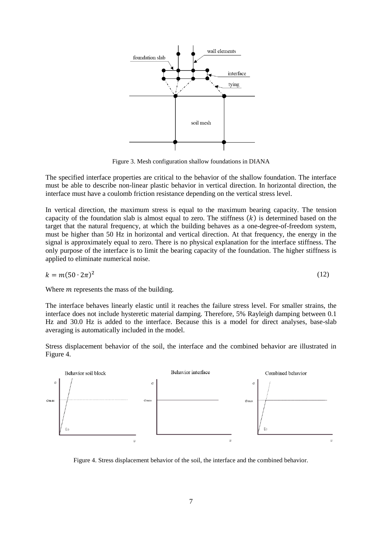

Figure 3. Mesh configuration shallow foundations in DIANA

<span id="page-6-0"></span>The specified interface properties are critical to the behavior of the shallow foundation. The interface must be able to describe non-linear plastic behavior in vertical direction. In horizontal direction, the interface must have a coulomb friction resistance depending on the vertical stress level.

In vertical direction, the maximum stress is equal to the maximum bearing capacity. The tension capacity of the foundation slab is almost equal to zero. The stiffness  $(k)$  is determined based on the target that the natural frequency, at which the building behaves as a one-degree-of-freedom system, must be higher than 50 Hz in horizontal and vertical direction. At that frequency, the energy in the signal is approximately equal to zero. There is no physical explanation for the interface stiffness. The only purpose of the interface is to limit the bearing capacity of the foundation. The higher stiffness is applied to eliminate numerical noise.

$$
k = m(50 \cdot 2\pi)^2
$$

Where  $m$  represents the mass of the building.

The interface behaves linearly elastic until it reaches the failure stress level. For smaller strains, the interface does not include hysteretic material damping. Therefore, 5% Rayleigh damping between 0.1 Hz and 30.0 Hz is added to the interface. Because this is a model for direct analyses, base-slab averaging is automatically included in the model.

Stress displacement behavior of the soil, the interface and the combined behavior are illustrated in [Figure 4.](#page-6-1)



<span id="page-6-1"></span>Figure 4. Stress displacement behavior of the soil, the interface and the combined behavior.

 $(12)$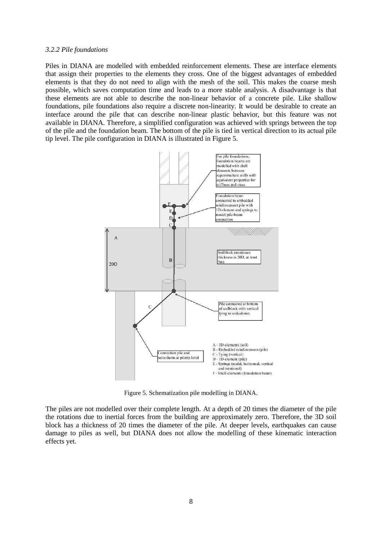#### *3.2.2 Pile foundations*

Piles in DIANA are modelled with embedded reinforcement elements. These are interface elements that assign their properties to the elements they cross. One of the biggest advantages of embedded elements is that they do not need to align with the mesh of the soil. This makes the coarse mesh possible, which saves computation time and leads to a more stable analysis. A disadvantage is that these elements are not able to describe the non-linear behavior of a concrete pile. Like shallow foundations, pile foundations also require a discrete non-linearity. It would be desirable to create an interface around the pile that can describe non-linear plastic behavior, but this feature was not available in DIANA. Therefore, a simplified configuration was achieved with springs between the top of the pile and the foundation beam. The bottom of the pile is tied in vertical direction to its actual pile tip level. The pile configuration in DIANA is illustrated in [Figure 5.](#page-7-0)



Figure 5. Schematization pile modelling in DIANA.

<span id="page-7-0"></span>The piles are not modelled over their complete length. At a depth of 20 times the diameter of the pile the rotations due to inertial forces from the building are approximately zero. Therefore, the 3D soil block has a thickness of 20 times the diameter of the pile. At deeper levels, earthquakes can cause damage to piles as well, but DIANA does not allow the modelling of these kinematic interaction effects yet.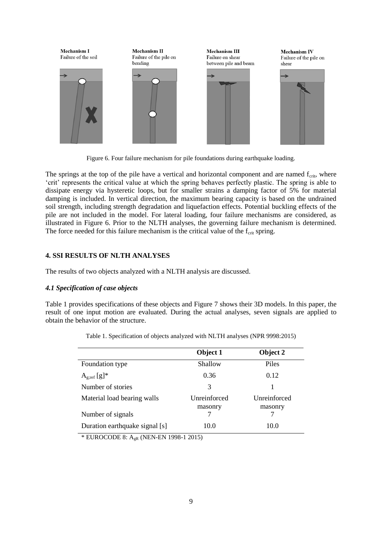

Figure 6. Four failure mechanism for pile foundations during earthquake loading.

<span id="page-8-0"></span>The springs at the top of the pile have a vertical and horizontal component and are named  $f_{\text{crit}}$ , where 'crit' represents the critical value at which the spring behaves perfectly plastic. The spring is able to dissipate energy via hysteretic loops, but for smaller strains a damping factor of 5% for material damping is included. In vertical direction, the maximum bearing capacity is based on the undrained soil strength, including strength degradation and liquefaction effects. Potential buckling effects of the pile are not included in the model. For lateral loading, four failure mechanisms are considered, as illustrated in [Figure 6.](#page-8-0) Prior to the NLTH analyses, the governing failure mechanism is determined. The force needed for this failure mechanism is the critical value of the  $f_{\text{crit}}$  spring.

# **4. SSI RESULTS OF NLTH ANALYSES**

The results of two objects analyzed with a NLTH analysis are discussed.

### *4.1 Specification of case objects*

<span id="page-8-1"></span>[Table 1](#page-8-1) provides specifications of these objects and [Figure 7](#page-9-0) shows their 3D models. In this paper, the result of one input motion are evaluated. During the actual analyses, seven signals are applied to obtain the behavior of the structure.

|                                | Object 1                | Object 2                |
|--------------------------------|-------------------------|-------------------------|
| Foundation type                | Shallow                 | Piles                   |
| $A_{\text{erff}}[g]^*$         | 0.36                    | 0.12                    |
| Number of stories              | 3                       | 1                       |
| Material load bearing walls    | Unreinforced<br>masonry | Unreinforced<br>masonry |
| Number of signals              |                         | 7                       |
| Duration earthquake signal [s] | 10.0                    | 10.0                    |

Table 1. Specification of objects analyzed with NLTH analyses (NPR 9998:2015)

\* EUROCODE 8: AgR (NEN-EN 1998-1 2015)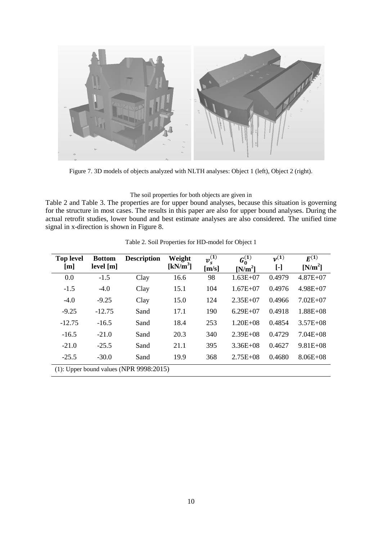

<span id="page-9-0"></span>Figure 7. 3D models of objects analyzed with NLTH analyses: Object 1 (left), Object 2 (right).

# The soil properties for both objects are given in

[Table 2](#page-9-1) and [Table 3.](#page-10-0) The properties are for upper bound analyses, because this situation is governing for the structure in most cases. The results in this paper are also for upper bound analyses. During the actual retrofit studies, lower bound and best estimate analyses are also considered. The unified time signal in x-direction is shown in [Figure 8.](#page-10-1)

<span id="page-9-1"></span>

| <b>Top level</b><br>[m]                    | <b>Bottom</b><br>level [m] | <b>Description</b> | Weight<br>[kN/ $m^3$ ] | $v_s^{(1)}$<br>[m/s] | $G_0^{(1)}$<br>$[N/m^2]$ | $\nu^{(1)}$<br>$[\cdot]$ | $F^{(1)}$<br>$[N/m^2]$ |
|--------------------------------------------|----------------------------|--------------------|------------------------|----------------------|--------------------------|--------------------------|------------------------|
| 0.0                                        | $-1.5$                     | Clay               | 16.6                   | 98                   | $1.63E + 07$             | 0.4979                   | $4.87E + 07$           |
| $-1.5$                                     | $-4.0$                     | Clay               | 15.1                   | 104                  | $1.67E + 07$             | 0.4976                   | $4.98E + 07$           |
| $-4.0$                                     | $-9.25$                    | Clay               | 15.0                   | 124                  | $2.35E+07$               | 0.4966                   | $7.02E + 07$           |
| $-9.25$                                    | $-12.75$                   | Sand               | 17.1                   | 190                  | $6.29E+07$               | 0.4918                   | $1.88E + 08$           |
| $-12.75$                                   | $-16.5$                    | Sand               | 18.4                   | 253                  | $1.20E + 08$             | 0.4854                   | $3.57E + 08$           |
| $-16.5$                                    | $-21.0$                    | Sand               | 20.3                   | 340                  | $2.39E + 08$             | 0.4729                   | $7.04E + 08$           |
| $-21.0$                                    | $-25.5$                    | Sand               | 21.1                   | 395                  | $3.36E + 08$             | 0.4627                   | $9.81E + 08$           |
| $-25.5$                                    | $-30.0$                    | Sand               | 19.9                   | 368                  | $2.75E + 08$             | 0.4680                   | $8.06E + 08$           |
| $(1)$ : Upper bound values (NPR 9998:2015) |                            |                    |                        |                      |                          |                          |                        |

Table 2. Soil Properties for HD-model for Object 1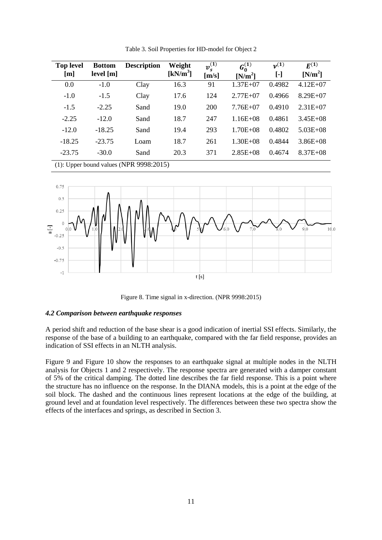<span id="page-10-0"></span>

| <b>Top level</b><br>[m]                    | <b>Bottom</b><br>level [m] | <b>Description</b> | Weight<br>[kN/m <sup>3</sup> ] | $v_s^{(1)}$<br>[m/s] | $G_0^{(1)}$<br>$[N/m^2]$ | $\nu^{(1)}$<br>$[\cdot]$ | $\mathbf{F}^{(1)}$<br>$[N/m^2]$ |
|--------------------------------------------|----------------------------|--------------------|--------------------------------|----------------------|--------------------------|--------------------------|---------------------------------|
| 0.0                                        | $-1.0$                     | Clay               | 16.3                           | 91                   | $1.37E + 07$             | 0.4982                   | $4.12E + 07$                    |
| $-1.0$                                     | $-1.5$                     | Clay               | 17.6                           | 124                  | $2.77E + 07$             | 0.4966                   | $8.29E + 07$                    |
| $-1.5$                                     | $-2.25$                    | Sand               | 19.0                           | 200                  | $7.76E + 07$             | 0.4910                   | $2.31E+07$                      |
| $-2.25$                                    | $-12.0$                    | Sand               | 18.7                           | 247                  | $1.16E + 08$             | 0.4861                   | $3.45E + 08$                    |
| $-12.0$                                    | $-18.25$                   | Sand               | 19.4                           | 293                  | $1.70E + 08$             | 0.4802                   | $5.03E + 08$                    |
| $-18.25$                                   | $-23.75$                   | Loam               | 18.7                           | 261                  | $1.30E + 08$             | 0.4844                   | $3.86E + 08$                    |
| $-23.75$                                   | $-30.0$                    | Sand               | 20.3                           | 371                  | $2.85E + 0.8$            | 0.4674                   | $8.37E + 08$                    |
| $(1)$ : Upper bound values (NPR 9998:2015) |                            |                    |                                |                      |                          |                          |                                 |

Table 3. Soil Properties for HD-model for Object 2



Figure 8. Time signal in x-direction. (NPR 9998:2015)

#### <span id="page-10-1"></span>*4.2 Comparison between earthquake responses*

A period shift and reduction of the base shear is a good indication of inertial SSI effects. Similarly, the response of the base of a building to an earthquake, compared with the far field response, provides an indication of SSI effects in an NLTH analysis.

[Figure 9](#page-11-0) and [Figure 10](#page-11-1) show the responses to an earthquake signal at multiple nodes in the NLTH analysis for Objects 1 and 2 respectively. The response spectra are generated with a damper constant of 5% of the critical damping. The dotted line describes the far field response. This is a point where the structure has no influence on the response. In the DIANA models, this is a point at the edge of the soil block. The dashed and the continuous lines represent locations at the edge of the building, at ground level and at foundation level respectively. The differences between these two spectra show the effects of the interfaces and springs, as described in Section 3.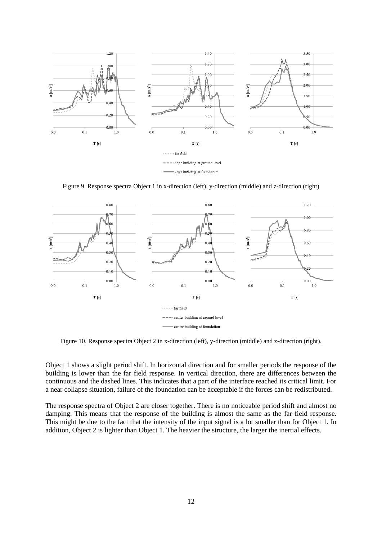

Figure 9. Response spectra Object 1 in x-direction (left), y-direction (middle) and z-direction (right)

<span id="page-11-0"></span>

<span id="page-11-1"></span>Figure 10. Response spectra Object 2 in x-direction (left), y-direction (middle) and z-direction (right).

Object 1 shows a slight period shift. In horizontal direction and for smaller periods the response of the building is lower than the far field response. In vertical direction, there are differences between the continuous and the dashed lines. This indicates that a part of the interface reached its critical limit. For a near collapse situation, failure of the foundation can be acceptable if the forces can be redistributed.

The response spectra of Object 2 are closer together. There is no noticeable period shift and almost no damping. This means that the response of the building is almost the same as the far field response. This might be due to the fact that the intensity of the input signal is a lot smaller than for Object 1. In addition, Object 2 is lighter than Object 1. The heavier the structure, the larger the inertial effects.